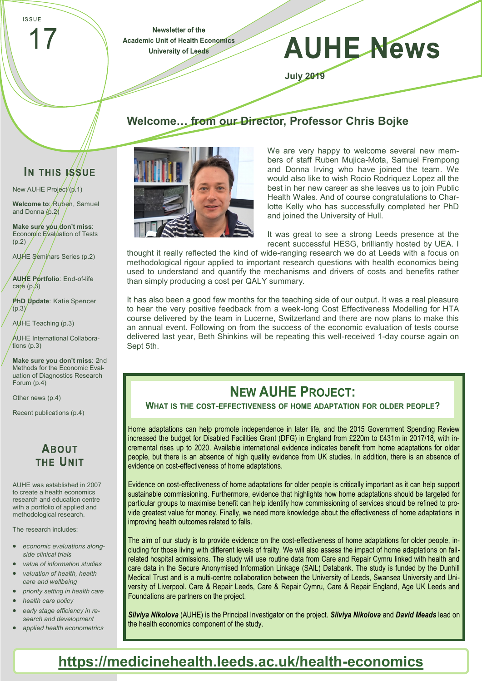**ISSUE** 

Newsletter of the **Academic Unit of Health Economics University of Leeds** 

# **AUHE News**

**July 2019**

#### **Welcome… from our Director, Professor Chris Bojke**

## IN THIS ISSUE

New AUHE Project<sup>/</sup>(p.1) **Welcome to:** Ruben, Samuel and Donna (p.2)

**Make sure you don't miss**: Economic Evaluation of Tests  $(p.2)$ 

AUHE Seminars Series (p.2)

**AUHE Portfolio**: End-of-life care  $(p, 3)$ 

**PhD Update**: Katie Spencer  $(p.3)$ 

AUHE Teaching (p.3)

AUHE International Collaborations (p.3)

**Make sure you don't miss**: 2nd Methods for the Economic Evaluation of Diagnostics Research Forum (p.4)

Other news (p.4)

Recent publications (p.4)

#### **ABOUT THE UNIT**

AUHE was established in 2007 to create a health economics research and education centre with a portfolio of applied and methodological research.

The research includes:

- *economic evaluations alongside clinical trials*
- *value of information studies valuation of health, health care and wellbeing*
- *priority setting in health care*
- *health care policy*
- *early stage efficiency in research and development*
- *applied health econometrics*



We are very happy to welcome several new members of staff Ruben Mujica-Mota, Samuel Frempong and Donna Irving who have joined the team. We would also like to wish Rocio Rodriquez Lopez all the best in her new career as she leaves us to join Public Health Wales. And of course congratulations to Charlotte Kelly who has successfully completed her PhD and joined the University of Hull.

It was great to see a strong Leeds presence at the recent successful HESG, brilliantly hosted by UEA. I

thought it really reflected the kind of wide-ranging research we do at Leeds with a focus on methodological rigour applied to important research questions with health economics being used to understand and quantify the mechanisms and drivers of costs and benefits rather than simply producing a cost per QALY summary.

It has also been a good few months for the teaching side of our output. It was a real pleasure to hear the very positive feedback from a week-long Cost Effectiveness Modelling for HTA course delivered by the team in Lucerne, Switzerland and there are now plans to make this an annual event. Following on from the success of the economic evaluation of tests course delivered last year, Beth Shinkins will be repeating this well-received 1-day course again on Sept 5th.

#### **NEW AUHE PROJECT:**

#### WHAT IS THE COST-EFFECTIVENESS OF HOME ADAPTATION FOR OLDER PEOPLE?

Home adaptations can help promote independence in later life, and the 2015 Government Spending Review increased the budget for Disabled Facilities Grant (DFG) in England from £220m to £431m in 2017/18, with incremental rises up to 2020. Available international evidence indicates benefit from home adaptations for older people, but there is an absence of high quality evidence from UK studies. In addition, there is an absence of evidence on cost-effectiveness of home adaptations.

Evidence on cost-effectiveness of home adaptations for older people is critically important as it can help support sustainable commissioning. Furthermore, evidence that highlights how home adaptations should be targeted for particular groups to maximise benefit can help identify how commissioning of services should be refined to provide greatest value for money. Finally, we need more knowledge about the effectiveness of home adaptations in improving health outcomes related to falls.

The aim of our study is to provide evidence on the cost-effectiveness of home adaptations for older people, including for those living with different levels of frailty. We will also assess the impact of home adaptations on fallrelated hospital admissions. The study will use routine data from Care and Repair Cymru linked with health and care data in the Secure Anonymised Information Linkage (SAIL) Databank. The study is funded by the Dunhill Medical Trust and is a multi-centre collaboration between the University of Leeds, Swansea University and University of Liverpool. Care & Repair Leeds, Care & Repair Cymru, Care & Repair England, Age UK Leeds and Foundations are partners on the project.

*Silviya Nikolova* (AUHE) is the Principal Investigator on the project. *Silviya Nikolova* and *David Meads* lead on the health economics component of the study.

## **[https://medicinehealth.leeds.ac.uk/health](https://medicinehealth.leeds.ac.uk/health-economics)-economics**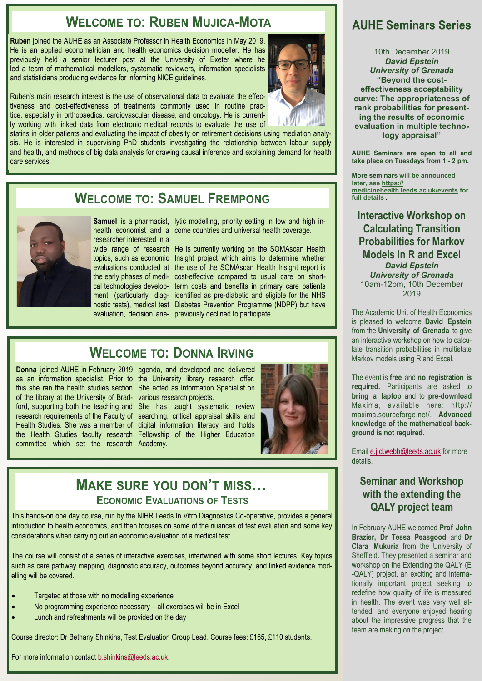#### **WELCOME TO: RUBEN MUJICA-MOTA**

**Ruben** joined the AUHE as an Associate Professor in Health Economics in May 2019. He is an applied econometrician and health economics decision modeller. He has previously held a senior lecturer post at the University of Exeter where he led a team of mathematical modellers, systematic reviewers, information specialists and statisticians producing evidence for informing NICE guidelines.

Ruben's main research interest is the use of observational data to evaluate the effectiveness and cost-effectiveness of treatments commonly used in routine practice, especially in orthopaedics, cardiovascular disease, and oncology. He is currently working with linked data from electronic medical records to evaluate the use of

statins in older patients and evaluating the impact of obesity on retirement decisions using mediation analysis. He is interested in supervising PhD students investigating the relationship between labour supply and health, and methods of big data analysis for drawing causal inference and explaining demand for health care services.

#### **WELCOME TO: SAMUEL FREMPONG**



researcher interested in a

Samuel is a pharmacist, lytic modelling, priority setting in low and high inhealth economist and a come countries and universal health coverage.

wide range of research He is currently working on the SOMAscan Health topics, such as economic Insight project which aims to determine whether evaluations conducted at the use of the SOMAscan Health Insight report is the early phases of medi-cost-effective compared to usual care on shortcal technologies develop-term costs and benefits in primary care patients ment (particularly diag- identified as pre-diabetic and eligible for the NHS nostic tests), medical test Diabetes Prevention Programme (NDPP) but have evaluation, decision ana-previously declined to participate.

#### **WELCOME TO: DONNA IRVING**

as an information specialist. Prior to the University library research offer. this she ran the health studies section She acted as Information Specialist on of the library at the University of Brad-various research projects. ford, supporting both the teaching and She has taught systematic review research requirements of the Faculty of searching, critical appraisal skills and Health Studies. She was a member of digital information literacy and holds the Health Studies faculty research Fellowship of the Higher Education committee which set the research Academy.

Donna joined AUHE in February 2019 agenda, and developed and delivered



#### **MAKE SURE YOU DON'T MISS... ECONOMIC EVALUATIONS OF TESTS**

This hands-on one day course, run by the NIHR Leeds In Vitro Diagnostics Co-operative, provides a general introduction to health economics, and then focuses on some of the nuances of test evaluation and some key considerations when carrying out an economic evaluation of a medical test.

The course will consist of a series of interactive exercises, intertwined with some short lectures. Key topics such as care pathway mapping, diagnostic accuracy, outcomes beyond accuracy, and linked evidence modelling will be covered.

- Targeted at those with no modelling experience
- No programming experience necessary all exercises will be in Excel
- Lunch and refreshments will be provided on the day

Course director: Dr Bethany Shinkins, Test Evaluation Group Lead. Course fees: £165, £110 students.

For more information contact [b.shinkins@leeds.ac.uk.](mailto:%20b.shinkins@leeds.ac.uk)

#### **AUHF Seminars Series**

10th December 2019 *David Epstein University of Grenada* **"Beyond the costeffectiveness acceptability curve: The appropriateness of rank probabilities for presenting the results of economic evaluation in multiple technology appraisal"**

**AUHE Seminars are open to all and take place on Tuesdays from 1 - 2 pm.**

**More seminars will be announced later, see [https://](https://medicinehealth.leeds.ac.uk/events) [medicinehealth.leeds.ac.uk/events](https://medicinehealth.leeds.ac.uk/events) for full details .**

**Interactive Workshop on Calculating Transition Probabilities for Markov Models in R and Excel** *David Epstein University of Grenada* 10am-12pm, 10th December 2019

The Academic Unit of Health Economics is pleased to welcome **David Epstein**  from the **University of Grenada** to give an interactive workshop on how to calculate transition probabilities in multistate Markov models using R and Excel.

The event is **free** and **no registration is required.** Participants are asked to **bring a laptop** and to **pre-download** Maxima, available here: http:// maxima.sourceforge.net/. **Advanced knowledge of the mathematical background is not required.** 

Email [e.j.d.webb@leeds.ac.uk](mailto:%20e.j.d.webb@leeds.ac.uk) for more details.

#### **Seminar and Workshop with the extending the QALY project team**

In February AUHE welcomed **Prof John Brazier, Dr Tessa Peasgood** and **Dr Clara Mukuria** from the University of Sheffield. They presented a seminar and workshop on the Extending the QALY (E -QALY) project, an exciting and internationally important project seeking to redefine how quality of life is measured in health. The event was very well attended, and everyone enjoyed hearing about the impressive progress that the team are making on the project.

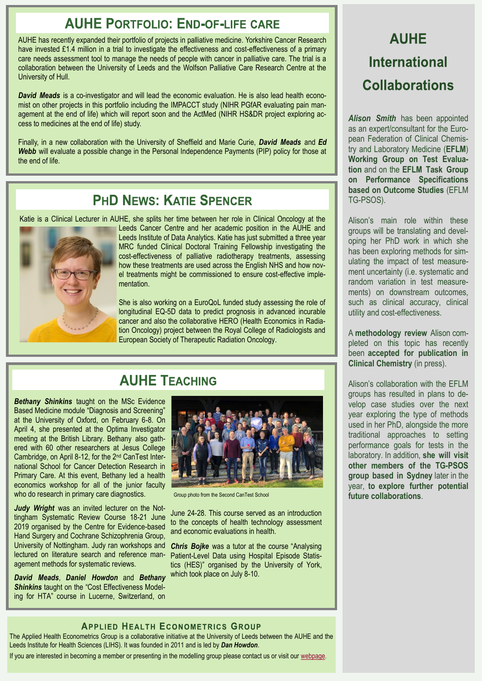#### **AUHE PORTFOLIO: END-OF-LIFF CARE**

AUHE has recently expanded their portfolio of projects in palliative medicine. Yorkshire Cancer Research have invested £1.4 million in a trial to investigate the effectiveness and cost-effectiveness of a primary care needs assessment tool to manage the needs of people with cancer in palliative care. The trial is a collaboration between the University of Leeds and the Wolfson Palliative Care Research Centre at the University of Hull.

**David Meads** is a co-investigator and will lead the economic evaluation. He is also lead health economist on other projects in this portfolio including the IMPACCT study (NIHR PGfAR evaluating pain management at the end of life) which will report soon and the ActMed (NIHR HS&DR project exploring access to medicines at the end of life) study.

Finally, in a new collaboration with the University of Sheffield and Marie Curie, *David Meads* and *Ed Webb* will evaluate a possible change in the Personal Independence Payments (PIP) policy for those at the end of life.

#### **PHD NEWS: KATIE SPENCER**

Katie is a Clinical Lecturer in AUHE, she splits her time between her role in Clinical Oncology at the



Leeds Cancer Centre and her academic position in the AUHE and Leeds Institute of Data Analytics. Katie has just submitted a three year MRC funded Clinical Doctoral Training Fellowship investigating the cost-effectiveness of palliative radiotherapy treatments, assessing how these treatments are used across the English NHS and how novel treatments might be commissioned to ensure cost-effective implementation.

She is also working on a EuroQoL funded study assessing the role of longitudinal EQ-5D data to predict prognosis in advanced incurable cancer and also the collaborative HERO (Health Economics in Radiation Oncology) project between the Royal College of Radiologists and European Society of Therapeutic Radiation Oncology.

#### **AUHE TEACHING**

*Bethany Shinkins* taught on the MSc Evidence Based Medicine module "Diagnosis and Screening" at the University of Oxford, on February 6-8. On April 4, she presented at the Optima Investigator meeting at the British Library. Bethany also gathered with 60 other researchers at Jesus College Cambridge, on April 8-12, for the 2nd CanTest International School for Cancer Detection Research in Primary Care. At this event, Bethany led a health economics workshop for all of the junior faculty who do research in primary care diagnostics.

*Judy Wright* was an invited lecturer on the Nottingham Systematic Review Course 18-21 June 2019 organised by the Centre for Evidence-based Hand Surgery and Cochrane Schizophrenia Group, University of Nottingham. Judy ran workshops and lectured on literature search and reference management methods for systematic reviews.

*David Meads*, *Daniel Howdon* and *Bethany*  **Shinkins** taught on the "Cost Effectiveness Modeling for HTA" course in Lucerne, Switzerland, on



Group photo from the Second CanTest School

June 24-28. This course served as an introduction to the concepts of health technology assessment and economic evaluations in health.

*Chris Bojke was a tutor at the course "Analysing* Patient-Level Data using Hospital Episode Statistics (HES)" organised by the University of York, which took place on July 8-10.

# **AUHE International Collaborations**

*Alison Smith* has been appointed as an expert/consultant for the European Federation of Clinical Chemistry and Laboratory Medicine (**EFLM**) **Working Group on Test Evaluation** and on the **EFLM Task Group on Performance Specifications based on Outcome Studies** (EFLM TG-PSOS).

Alison's main role within these groups will be translating and developing her PhD work in which she has been exploring methods for simulating the impact of test measurement uncertainty (i.e. systematic and random variation in test measurements) on downstream outcomes, such as clinical accuracy, clinical utility and cost-effectiveness.

A **methodology review** Alison completed on this topic has recently been **accepted for publication in Clinical Chemistry** (in press).

Alison's collaboration with the EFLM groups has resulted in plans to develop case studies over the next year exploring the type of methods used in her PhD, alongside the more traditional approaches to setting performance goals for tests in the laboratory. In addition, **she will visit other members of the TG-PSOS group based in Sydney** later in the year, **to explore further potential future collaborations**.

#### **APPLIED HEALTH ECONOMETRICS GROUP**

The Applied Health Econometrics Group is a collaborative initiative at the University of Leeds between the AUHE and the Leeds Institute for Health Sciences (LIHS). It was founded in 2011 and is led by *Dan Howdon*.

If you are interested in becoming a member or presenting in the modelling group please contact us or visit our [webpage.](https://medicinehealth.leeds.ac.uk/faculty-/dir-record/research-groups/559/applied-health-econometrics-group)